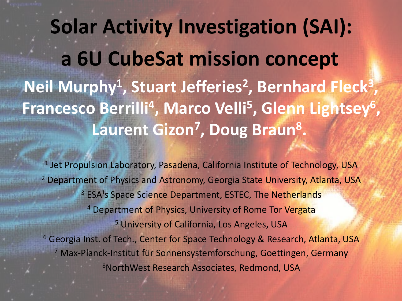**Solar Activity Investigation (SAI): a 6U CubeSat mission concept** Neil Murphy<sup>1</sup>, Stuart Jefferies<sup>2</sup>, Bernhard Fleck<sup>3</sup>, Francesco Berrilli<sup>4</sup>, Marco Velli<sup>5</sup>, Glenn Lightsey<sup>6</sup>, **Laurent Gizon7, Doug Braun8 .**

<sup>1</sup> Jet Propulsion Laboratory, Pasadena, California Institute of Technology, USA <sup>2</sup> Department of Physics and Astronomy, Georgia State University, Atlanta, USA <sup>3</sup> ESA<sup>1</sup>s Space Science Department, ESTEC, The Netherlands <sup>4</sup> Department of Physics, University of Rome Tor Vergata <sup>5</sup> University of California, Los Angeles, USA <sup>6</sup> Georgia Inst. of Tech., Center for Space Technology & Research, Atlanta, USA <sup>7</sup> Max-Planck-Institut für Sonnensystemforschung, Goettingen, Germany 8NorthWest Research Associates, Redmond, USA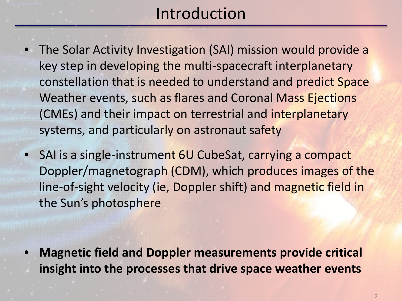## Introduction

- The Solar Activity Investigation (SAI) mission would provide a key step in developing the multi-spacecraft interplanetary constellation that is needed to understand and predict Space Weather events, such as flares and Coronal Mass Ejections (CMEs) and their impact on terrestrial and interplanetary systems, and particularly on astronaut safety
- SAI is a single-instrument 6U CubeSat, carrying a compact Doppler/magnetograph (CDM), which produces images of the line-of-sight velocity (ie, Doppler shift) and magnetic field in the Sun's photosphere

• **Magnetic field and Doppler measurements provide critical insight into the processes that drive space weather events**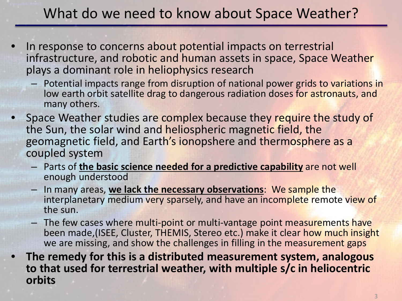#### What do we need to know about Space Weather?

- In response to concerns about potential impacts on terrestrial infrastructure, and robotic and human assets in space, Space Weather plays a dominant role in heliophysics research
	- Potential impacts range from disruption of national power grids to variations in low earth orbit satellite drag to dangerous radiation doses for astronauts, and many others.
- Space Weather studies are complex because they require the study of the Sun, the solar wind and heliospheric magnetic field, the geomagnetic field, and Earth's ionopshere and thermosphere as a coupled system
	- Parts of **the basic science needed for a predictive capability** are not well enough understood
	- In many areas, **we lack the necessary observations**: We sample the interplanetary medium very sparsely, and have an incomplete remote view of the sun.
	- The few cases where multi-point or multi-vantage point measurements have been made,(ISEE, Cluster, THEMIS, Stereo etc.) make it clear how much insight we are missing, and show the challenges in filling in the measurement gaps
- **The remedy for this is a distributed measurement system, analogous to that used for terrestrial weather, with multiple s/c in heliocentric orbits**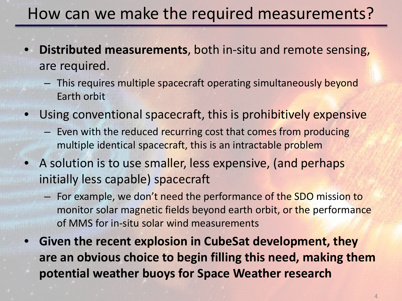## How can we make the required measurements?

- **Distributed measurements**, both in-situ and remote sensing, are required.
	- This requires multiple spacecraft operating simultaneously beyond Earth orbit
- Using conventional spacecraft, this is prohibitively expensive
	- Even with the reduced recurring cost that comes from producing multiple identical spacecraft, this is an intractable problem
- A solution is to use smaller, less expensive, (and perhaps initially less capable) spacecraft
	- For example, we don't need the performance of the SDO mission to monitor solar magnetic fields beyond earth orbit, or the performance of MMS for in-situ solar wind measurements
- **Given the recent explosion in CubeSat development, they are an obvious choice to begin filling this need, making them potential weather buoys for Space Weather research**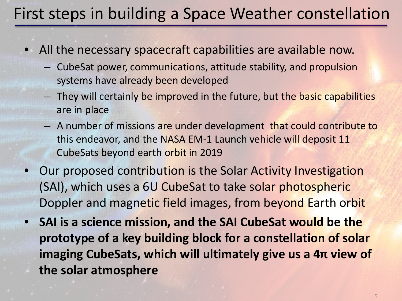# First steps in building a Space Weather constellation

- All the necessary spacecraft capabilities are available now.
	- CubeSat power, communications, attitude stability, and propulsion systems have already been developed
	- They will certainly be improved in the future, but the basic capabilities are in place
	- A number of missions are under development that could contribute to this endeavor, and the NASA EM-1 Launch vehicle will deposit 11 CubeSats beyond earth orbit in 2019
- Our proposed contribution is the Solar Activity Investigation (SAI), which uses a 6U CubeSat to take solar photospheric Doppler and magnetic field images, from beyond Earth orbit
- **SAI is a science mission, and the SAI CubeSat would be the prototype of a key building block for a constellation of solar imaging CubeSats, which will ultimately give us a 4π view of the solar atmosphere**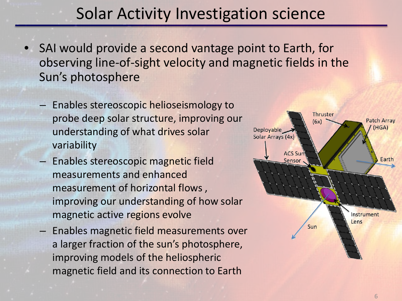#### Solar Activity Investigation science

- SAI would provide a second vantage point to Earth, for observing line-of-sight velocity and magnetic fields in the Sun's photosphere
	- Enables stereoscopic helioseismology to probe deep solar structure, improving our understanding of what drives solar variability
	- Enables stereoscopic magnetic field measurements and enhanced measurement of horizontal flows , improving our understanding of how solar magnetic active regions evolve
	- Enables magnetic field measurements over a larger fraction of the sun's photosphere, improving models of the heliospheric magnetic field and its connection to Earth

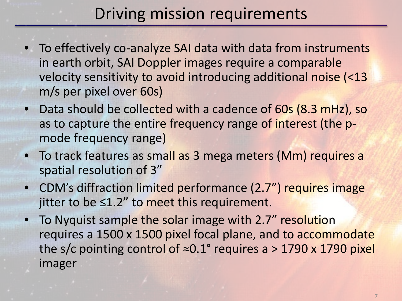#### Driving mission requirements

- To effectively co-analyze SAI data with data from instruments in earth orbit, SAI Doppler images require a comparable velocity sensitivity to avoid introducing additional noise (<13 m/s per pixel over 60s)
- Data should be collected with a cadence of 60s (8.3 mHz), so as to capture the entire frequency range of interest (the pmode frequency range)
- To track features as small as 3 mega meters (Mm) requires a spatial resolution of 3"
- CDM's diffraction limited performance (2.7") requires image jitter to be ≤1.2" to meet this requirement.
- To Nyquist sample the solar image with 2.7" resolution requires a 1500 x 1500 pixel focal plane, and to accommodate the s/c pointing control of  $\approx 0.1^{\circ}$  requires a > 1790 x 1790 pixel imager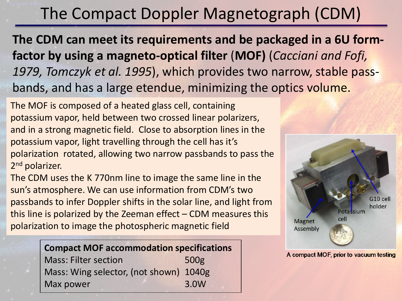#### The Compact Doppler Magnetograph (CDM)

**The CDM can meet its requirements and be packaged in a 6U formfactor by using a magneto-optical filter** (**MOF)** (*Cacciani and Fofi, 1979, Tomczyk et al. 1995*), which provides two narrow, stable passbands, and has a large etendue, minimizing the optics volume.

The MOF is composed of a heated glass cell, containing potassium vapor, held between two crossed linear polarizers, and in a strong magnetic field. Close to absorption lines in the potassium vapor, light travelling through the cell has it's polarization rotated, allowing two narrow passbands to pass the 2<sup>nd</sup> polarizer.

The CDM uses the K 770nm line to image the same line in the sun's atmosphere. We can use information from CDM's two passbands to infer Doppler shifts in the solar line, and light from this line is polarized by the Zeeman effect  $-$  CDM measures this polarization to image the photospheric magnetic field

#### **Compact MOF accommodation specifications**

Mass: Filter section 500g Mass: Wing selector, (not shown) 1040g Max power 3.0W



A compact MOF, prior to vacuum testing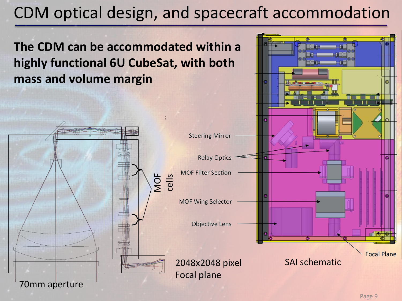## CDM optical design, and spacecraft accommodation

**The CDM can be accommodated within a highly functional 6U CubeSat, with both mass and volume margin CONTRACTOR Steering Mirror Relay Optics MOF Filter Section** MOF cells **MOF Wing Selector Objective Lens Focal Plane** 2048x2048 pixel SAI schematic Focal plane70mm aperture

Page 9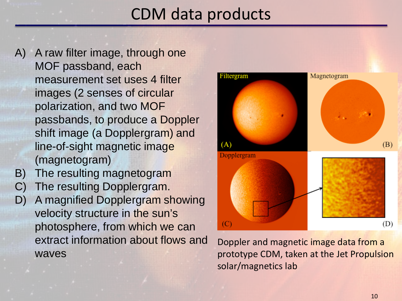## CDM data products

- A) A raw filter image, through one MOF passband, each measurement set uses 4 filter images (2 senses of circular polarization, and two MOF passbands, to produce a Doppler shift image (a Dopplergram) and line-of-sight magnetic image (magnetogram)
- B) The resulting magnetogram
- C) The resulting Dopplergram.
- D) A magnified Dopplergram showing velocity structure in the sun's photosphere, from which we can extract information about flows and waves



Doppler and magnetic image data from a prototype CDM, taken at the Jet Propulsion solar/magnetics lab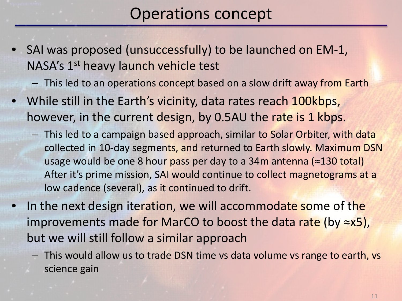#### Operations concept

- SAI was proposed (unsuccessfully) to be launched on EM-1, NASA's 1<sup>st</sup> heavy launch vehicle test
	- This led to an operations concept based on a slow drift away from Earth
- While still in the Earth's vicinity, data rates reach 100kbps, however, in the current design, by 0.5AU the rate is 1 kbps.
	- This led to a campaign based approach, similar to Solar Orbiter, with data collected in 10-day segments, and returned to Earth slowly. Maximum DSN usage would be one 8 hour pass per day to a 34m antenna (≈130 total) After it's prime mission, SAI would continue to collect magnetograms at a low cadence (several), as it continued to drift.
- In the next design iteration, we will accommodate some of the improvements made for MarCO to boost the data rate (by  $\approx$ x5), but we will still follow a similar approach
	- This would allow us to trade DSN time vs data volume vs range to earth, vs science gain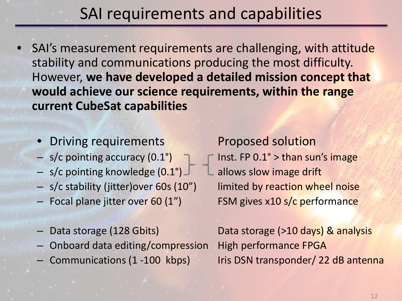#### SAI requirements and capabilities

- SAI's measurement requirements are challenging, with attitude stability and communications producing the most difficulty. However, **we have developed a detailed mission concept that would achieve our science requirements, within the range current CubeSat capabilities**
	- Driving requirements Proposed solution
	-
	- s/c pointing knowledge  $(0.1^\circ)$  L allows slow image drift
	- s/c stability (jitter)over 60s (10") limited by reaction wheel noise
	- Focal plane jitter over 60 (1") FSM gives x10 s/c performance
	-
	- Onboard data editing/compression High performance FPGA
	-

– s/c pointing accuracy  $(0.1^{\circ})$  – F Inst. FP  $0.1^{\circ}$  > than sun's image

– Data storage (128 Gbits) Data storage (>10 days) & analysis – Communications (1 -100 kbps) Iris DSN transponder/ 22 dB antenna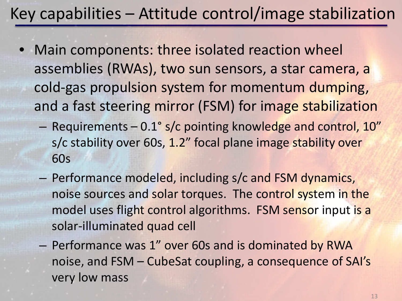## Key capabilities – Attitude control/image stabilization

- Main components: three isolated reaction wheel assemblies (RWAs), two sun sensors, a star camera, a cold-gas propulsion system for momentum dumping, and a fast steering mirror (FSM) for image stabilization
	- Requirements 0.1° s/c pointing knowledge and control, 10" s/c stability over 60s, 1.2" focal plane image stability over 60s
	- Performance modeled, including s/c and FSM dynamics, noise sources and solar torques. The control system in the model uses flight control algorithms. FSM sensor input is a solar-illuminated quad cell
	- Performance was 1" over 60s and is dominated by RWA noise, and FSM – CubeSat coupling, a consequence of SAI's very low mass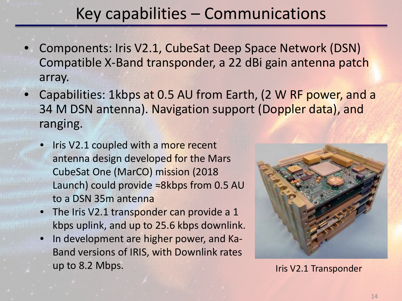## Key capabilities – Communications

- Components: Iris V2.1, CubeSat Deep Space Network (DSN) Compatible X-Band transponder, a 22 dBi gain antenna patch array.
- Capabilities: 1kbps at 0.5 AU from Earth, (2 W RF power, and a 34 M DSN antenna). Navigation support (Doppler data), and ranging.
	- Iris V2.1 coupled with a more recent antenna design developed for the Mars CubeSat One (MarCO) mission (2018 Launch) could provide ≈8kbps from 0.5 AU to a DSN 35m antenna
	- The Iris V2.1 transponder can provide a 1 kbps uplink, and up to 25.6 kbps downlink.
	- In development are higher power, and Ka-Band versions of IRIS, with Downlink rates up to 8.2 Mbps. In the United States of the United States of the United States of the United States of the United States of the United States of the United States of the United States of the United States of the United Sta

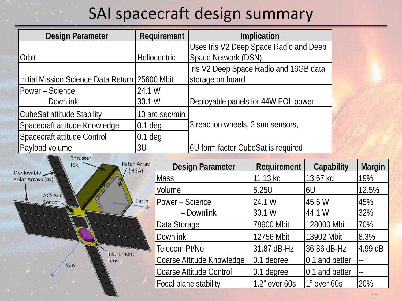## SAI spacecraft design summary

| <b>Design Parameter</b>                                                                                           | Requirement         |                                        | Implication                            |               |                   |                          |
|-------------------------------------------------------------------------------------------------------------------|---------------------|----------------------------------------|----------------------------------------|---------------|-------------------|--------------------------|
|                                                                                                                   |                     |                                        | Uses Iris V2 Deep Space Radio and Deep |               |                   |                          |
| Orbit                                                                                                             | <b>Heliocentric</b> |                                        | Space Network (DSN)                    |               |                   |                          |
|                                                                                                                   |                     | Iris V2 Deep Space Radio and 16GB data |                                        |               |                   |                          |
| Initial Mission Science Data Return                                                                               | 125600 Mbit         |                                        | storage on board                       |               |                   |                          |
| Power – Science                                                                                                   | 24.1 W              |                                        |                                        |               |                   |                          |
| - Downlink                                                                                                        | 30.1 W              |                                        | Deployable panels for 44W EOL power    |               |                   |                          |
| <b>CubeSat attitude Stability</b>                                                                                 | 10 arc-sec/min      |                                        |                                        |               |                   |                          |
| Spacecraft attitude Knowledge                                                                                     | $0.1$ deg           |                                        | 3 reaction wheels, 2 sun sensors,      |               |                   |                          |
| Spacecraft attitude Control                                                                                       | $0.1$ deg           |                                        |                                        |               |                   |                          |
| Payload volume                                                                                                    | 3U                  |                                        | 6U form factor CubeSat is required     |               |                   |                          |
| Thruster<br>Patch Array<br>(6x)<br>(HGA)<br>Deployable<br>Solar Arrays (4x)<br><b>ACS Sun</b><br>Earth<br>Sensor. |                     |                                        | <b>Design Parameter</b>                | Requirement   | <b>Capability</b> | <b>Margin</b>            |
|                                                                                                                   |                     | <b>Mass</b>                            |                                        | 11.13 kg      | 13.67 kg          | 19%                      |
|                                                                                                                   |                     | Volume                                 |                                        | 5.25U         | 6U                | 12.5%                    |
|                                                                                                                   |                     | Power - Science                        |                                        | 24.1 W        | 45.6 W            | 45%                      |
|                                                                                                                   |                     |                                        | - Downlink                             | 30.1 W        | 44.1 W            | 32%                      |
|                                                                                                                   |                     | Data Storage                           |                                        | 78900 Mbit    | 128000 Mbit       | 70%                      |
|                                                                                                                   |                     |                                        |                                        |               |                   |                          |
|                                                                                                                   |                     | <b>Downlink</b>                        |                                        | 12756 Mbit    | 13902 Mbit        | 8.3%                     |
| Instrument                                                                                                        | Telecom Pt/No       |                                        |                                        | 31.87 dB-Hz   | 36.86 dB-Hz       | $4.99$ dB                |
| Lens<br>Sun                                                                                                       |                     |                                        | Coarse Attitude Knowledge              | $0.1$ degree  | 0.1 and better    | $\overline{\phantom{a}}$ |
|                                                                                                                   |                     |                                        | <b>Coarse Attitude Control</b>         | $0.1$ degree  | 0.1 and better    |                          |
|                                                                                                                   |                     |                                        | Focal plane stability                  | 1.2" over 60s | 1" over 60s       | 20%                      |